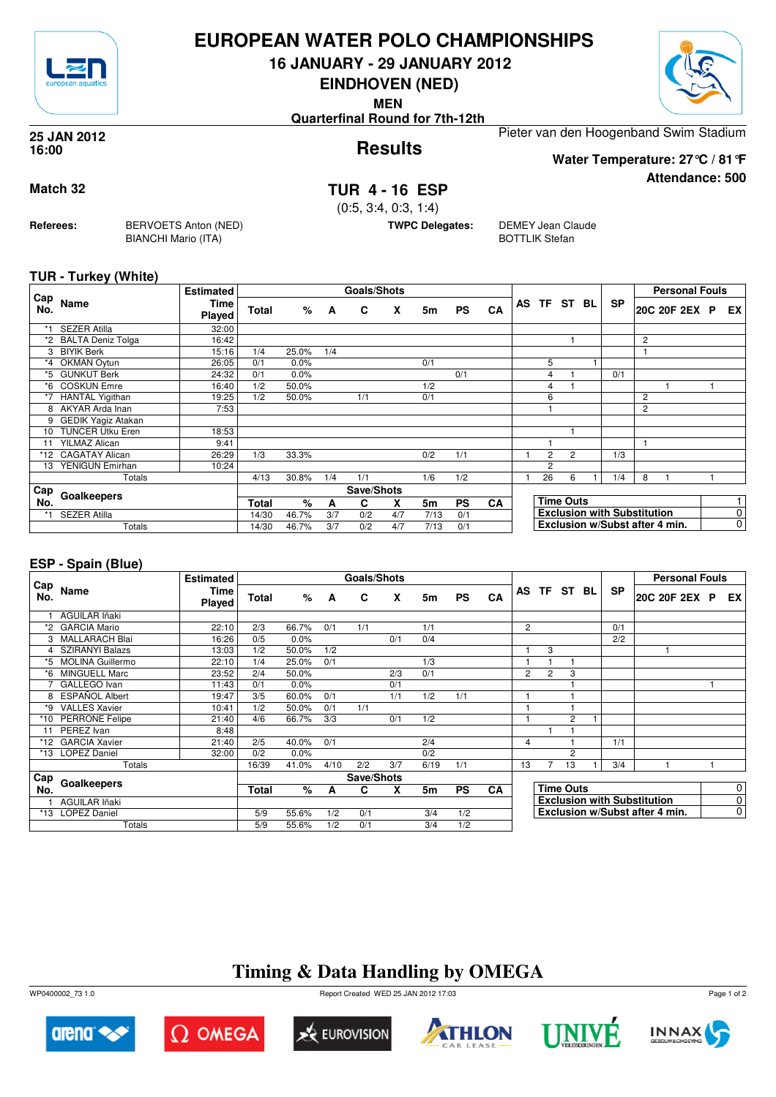

## **EUROPEAN WATER POLO CHAMPIONSHIPS**

**16 JANUARY - 29 JANUARY 2012**

**EINDHOVEN (NED)**

**MEN**

**Quarterfinal Round for 7th-12th**

Pieter van den Hoogenband Swim Stadium

#### **Results 25 JAN 2012 16:00**

**Attendance: 500 Water Temperature: 27°C / 81°F**

**Match 32 TUR 4 - 16 ESP**

(0:5, 3:4, 0:3, 1:4)

**TWPC Delegates:** DEMEY Jean Claude BOTTLIK Stefan

#### **TUR - Turkey (White)**

**Referees:** BERVOETS Anton (NED)

BIANCHI Mario (ITA)

|            |                          | <b>Estimated</b> |              |         |     | <b>Goals/Shots</b> |     |                |           |    |                |                  |                                    |   | <b>Personal Fouls</b> |    |
|------------|--------------------------|------------------|--------------|---------|-----|--------------------|-----|----------------|-----------|----|----------------|------------------|------------------------------------|---|-----------------------|----|
| Cap<br>No. | Name                     | Time<br>Played   | <b>Total</b> | %       | A   | C                  | X   | 5m             | <b>PS</b> | CA |                | AS TF ST BL      | <b>SP</b>                          |   | 20C 20F 2EX P         | EX |
| *1         | <b>SEZER Atilla</b>      | 32:00            |              |         |     |                    |     |                |           |    |                |                  |                                    |   |                       |    |
|            | <b>BALTA Deniz Tolga</b> | 16:42            |              |         |     |                    |     |                |           |    |                |                  |                                    | 2 |                       |    |
| 3          | <b>BIYIK Berk</b>        | 15:16            | 1/4          | 25.0%   | 1/4 |                    |     |                |           |    |                |                  |                                    |   |                       |    |
| *4         | <b>OKMAN Oytun</b>       | 26:05            | 0/1          | 0.0%    |     |                    |     | 0/1            |           |    | 5              |                  |                                    |   |                       |    |
| *5         | <b>GUNKUT Berk</b>       | 24:32            | 0/1          | $0.0\%$ |     |                    |     |                | 0/1       |    | 4              |                  | 0/1                                |   |                       |    |
| *6         | <b>COSKUN Emre</b>       | 16:40            | 1/2          | 50.0%   |     |                    |     | 1/2            |           |    | 4              |                  |                                    |   |                       |    |
| $*7$       | HANTAL Yigithan          | 19:25            | 1/2          | 50.0%   |     | 1/1                |     | 0/1            |           |    | 6              |                  |                                    | 2 |                       |    |
| 8          | AKYAR Arda Inan          | 7:53             |              |         |     |                    |     |                |           |    |                |                  |                                    | 2 |                       |    |
| 9          | GEDIK Yagiz Atakan       |                  |              |         |     |                    |     |                |           |    |                |                  |                                    |   |                       |    |
| 10         | <b>TUNCER Utku Eren</b>  | 18:53            |              |         |     |                    |     |                |           |    |                |                  |                                    |   |                       |    |
| 11         | <b>YILMAZ Alican</b>     | 9:41             |              |         |     |                    |     |                |           |    |                |                  |                                    |   |                       |    |
|            | *12 CAGATAY Alican       | 26:29            | 1/3          | 33.3%   |     |                    |     | 0/2            | 1/1       |    | $\overline{2}$ | $\overline{2}$   | 1/3                                |   |                       |    |
| 13         | YENIGUN Emirhan          | 10:24            |              |         |     |                    |     |                |           |    | 2              |                  |                                    |   |                       |    |
|            | Totals                   |                  | 4/13         | 30.8%   | 1/4 | 1/1                |     | 1/6            | 1/2       |    | 26             | 6                | 1/4                                | 8 |                       |    |
| Cap        |                          |                  |              |         |     | Save/Shots         |     |                |           |    |                |                  |                                    |   |                       |    |
| No.        | Goalkeepers              |                  | Total        | $\%$    | A   | C                  | X   | 5 <sub>m</sub> | <b>PS</b> | CA |                | <b>Time Outs</b> |                                    |   |                       |    |
| *1         | <b>SEZER Atilla</b>      |                  | 14/30        | 46.7%   | 3/7 | 0/2                | 4/7 | 7/13           | 0/1       |    |                |                  | <b>Exclusion with Substitution</b> |   |                       | 0  |
|            | Totals                   |                  | 14/30        | 46.7%   | 3/7 | 0/2                | 4/7 | 7/13           | 0/1       |    |                |                  | Exclusion w/Subst after 4 min.     |   |                       | 0  |

### **ESP - Spain (Blue)**

|            |                        | <b>Estimated</b>      |              |         |      | Goals/Shots |     |      |           |           |                |                |                  |           | <b>Personal Fouls</b>              |                |
|------------|------------------------|-----------------------|--------------|---------|------|-------------|-----|------|-----------|-----------|----------------|----------------|------------------|-----------|------------------------------------|----------------|
| Cap<br>No. | Name                   | <b>Time</b><br>Played | <b>Total</b> | %       | A    | C           | X   | 5m   | <b>PS</b> | CA        |                |                | AS TF ST BL      | <b>SP</b> | 20C 20F 2EX P                      | EX I           |
|            | <b>AGUILAR Iñaki</b>   |                       |              |         |      |             |     |      |           |           |                |                |                  |           |                                    |                |
| *2         | <b>GARCIA Mario</b>    | 22:10                 | 2/3          | 66.7%   | 0/1  | 1/1         |     | 1/1  |           |           | $\overline{c}$ |                |                  | 0/1       |                                    |                |
|            | 3 MALLARACH Blai       | 16:26                 | 0/5          | 0.0%    |      |             | 0/1 | 0/4  |           |           |                |                |                  | 2/2       |                                    |                |
|            | <b>SZIRANYI Balazs</b> | 13:03                 | 1/2          | 50.0%   | 1/2  |             |     |      |           |           |                | 3              |                  |           |                                    |                |
|            | *5 MOLINA Guillermo    | 22:10                 | 1/4          | 25.0%   | 0/1  |             |     | 1/3  |           |           |                |                |                  |           |                                    |                |
| *6         | MINGUELL Marc          | 23:52                 | 2/4          | 50.0%   |      |             | 2/3 | 0/1  |           |           | $\overline{c}$ | $\overline{c}$ | 3                |           |                                    |                |
|            | GALLEGO Ivan           | 11:43                 | 0/1          | 0.0%    |      |             | 0/1 |      |           |           |                |                |                  |           |                                    |                |
| 8          | <b>ESPAÑOL Albert</b>  | 19:47                 | 3/5          | 60.0%   | 0/1  |             | 1/1 | 1/2  | 1/1       |           |                |                |                  |           |                                    |                |
| *9         | <b>VALLES Xavier</b>   | 10:41                 | 1/2          | 50.0%   | 0/1  | 1/1         |     |      |           |           |                |                |                  |           |                                    |                |
| $*10$      | PERRONE Felipe         | 21:40                 | 4/6          | 66.7%   | 3/3  |             | 0/1 | 1/2  |           |           |                |                | $\overline{c}$   |           |                                    |                |
| 11         | PEREZ Ivan             | 8:48                  |              |         |      |             |     |      |           |           |                |                |                  |           |                                    |                |
| *12        | <b>GARCIA Xavier</b>   | 21:40                 | 2/5          | 40.0%   | 0/1  |             |     | 2/4  |           |           | 4              |                |                  | 1/1       |                                    |                |
| $*13$      | <b>LOPEZ Daniel</b>    | 32:00                 | 0/2          | $0.0\%$ |      |             |     | 0/2  |           |           |                |                | $\mathcal{P}$    |           |                                    |                |
|            | Totals                 |                       | 16/39        | 41.0%   | 4/10 | 2/2         | 3/7 | 6/19 | 1/1       |           | 13             |                | 13               | 3/4       |                                    |                |
| Cap        |                        |                       |              |         |      | Save/Shots  |     |      |           |           |                |                |                  |           |                                    |                |
| No.        | Goalkeepers            |                       | Total        | %       | A    | C.          | X   | 5m   | <b>PS</b> | <b>CA</b> |                |                | <b>Time Outs</b> |           |                                    | $\overline{0}$ |
|            | AGUILAR Iñaki          |                       |              |         |      |             |     |      |           |           |                |                |                  |           | <b>Exclusion with Substitution</b> | $\overline{0}$ |
| $*13$      | <b>LOPEZ Daniel</b>    |                       | 5/9          | 55.6%   | 1/2  | 0/1         |     | 3/4  | 1/2       |           |                |                |                  |           | Exclusion w/Subst after 4 min.     | $\overline{0}$ |
|            | Totals                 |                       | 5/9          | 55.6%   | 1/2  | 0/1         |     | 3/4  | 1/2       |           |                |                |                  |           |                                    |                |

# **Timing & Data Handling by OMEGA**

WP0400002\_73 1.0 Report Created WED 25 JAN 2012 17:03













Page 1 of 2